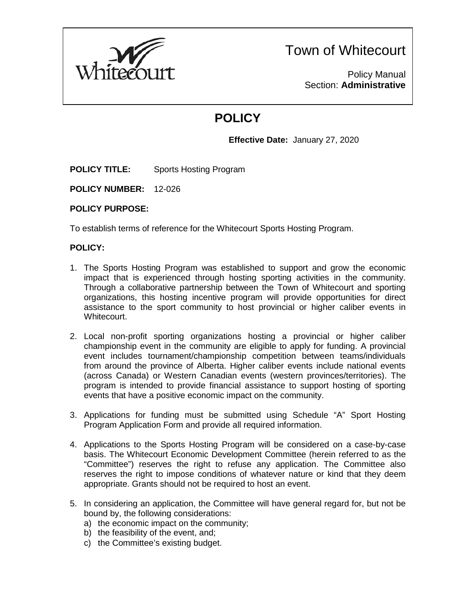

Town of Whitecourt

Policy Manual Section: **Administrative**

# **POLICY**

**Effective Date:** January 27, 2020

**POLICY TITLE:** Sports Hosting Program

**POLICY NUMBER:** 12-026

### **POLICY PURPOSE:**

To establish terms of reference for the Whitecourt Sports Hosting Program.

## **POLICY:**

- 1. The Sports Hosting Program was established to support and grow the economic impact that is experienced through hosting sporting activities in the community. Through a collaborative partnership between the Town of Whitecourt and sporting organizations, this hosting incentive program will provide opportunities for direct assistance to the sport community to host provincial or higher caliber events in Whitecourt.
- 2. Local non-profit sporting organizations hosting a provincial or higher caliber championship event in the community are eligible to apply for funding. A provincial event includes tournament/championship competition between teams/individuals from around the province of Alberta. Higher caliber events include national events (across Canada) or Western Canadian events (western provinces/territories). The program is intended to provide financial assistance to support hosting of sporting events that have a positive economic impact on the community.
- 3. Applications for funding must be submitted using Schedule "A" Sport Hosting Program Application Form and provide all required information.
- 4. Applications to the Sports Hosting Program will be considered on a case-by-case basis. The Whitecourt Economic Development Committee (herein referred to as the "Committee") reserves the right to refuse any application. The Committee also reserves the right to impose conditions of whatever nature or kind that they deem appropriate. Grants should not be required to host an event.
- 5. In considering an application, the Committee will have general regard for, but not be bound by, the following considerations:
	- a) the economic impact on the community;
	- b) the feasibility of the event, and;
	- c) the Committee's existing budget.